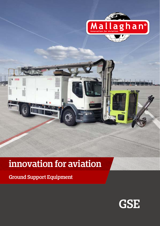

# **innovation for aviation**

**Ground Support Equipment**

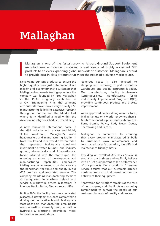# **Mallaghan**

Mallaghan is one of the fastest-growing Airport Ground Support Equipment manufacturers worldwide, producing a vast range of highly acclaimed GSE products to an ever-expanding global network of customers. Mallaghan is proud to provide best-in-class products that meet the needs of a diverse marketplace.

Developing our GSE products to ensure the highest quality is not just a statement, it is a mission and a commitment to customers that Mallaghan has been delivering upon since the company was founded by Terry Mallaghan in the 1960's. Originally established as a Civil Engineering Firm, the company attributes its move towards high quality GSE manufacturing following extensive research throughout Europe and the Middle East where Terry identified a need within the Aviation Industry for schedule streamlining.

A now renowned international force in the GSE Industry with a vast and highly skilled workforce, Mallaghan's world headquarters and manufacturing facility in Northern Ireland is a world-class premise's that represents Mallaghan's continued investment to foster business and industry growth, domestically and internationally. Never satisfied with the status quo, the ongoing expansion of development and manufacturing capabilities emphasises Mallaghan's commitment to continually raise the benchmark for value and quality in our GSE products and associated services. The company maintains manufacturing facilities & headquarters in Northern Ireland with service & worldwide offices in locations in London, Berlin, Dubai, Singapore and USA.

Built in 2004, the facility features a dedicated research & development space committed to driving our innovative brand. Mallaghan's state-of-the-art manufacturing area boasts continuous-flow assembly lines, as well as hydraulic & electronic assemblies, metal fabrication and weld shops.

Generous space is also devoted to shipping and receiving, a parts inventory warehouse, and quality assurance facilities. Our manufacturing facility implements Continuous-Flow Manufacturing (CFM) and Quality Improvement Programs (QIP), providing continuous product and process improvement.

As an approved bodybuilding manufacturer, Mallaghan use only world-renowned chassis & sub-component suppliers such as Mercedes-Benz, Scania, Volvo, DAF, Iveco, Deutz, Thermoking and Carrier.

Mallaghan is committed to ensuring that every product manufactured is built to customer's own requirements and constructed for safe operation, long-life and maintenance friendly metric.

Providing an excellent Aftersales Service is pivotal to our business and we firmly believe it to be just as important as the performance of our products. Our exceptional Aftersales Service ensures that our customers achieve maximum return on their investment for the entirety of their equipment.

'Innovation for Aviation' remains at the fore of our company and highlights our ongoing commitment to surpass the needs of our customers in terms of quality and service.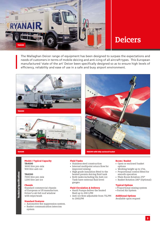

### **Deicers**

The Mallaghan Deicer range of equipment has been designed to surpass the expectations and needs of customers in terms of mobile deicing and anti-icing of all aircraft types. This European manufactured 'state of the art' Deicer been specifically designed so as to ensure high levels of efficiency, reliability and ease of use in a safe and busy airport environment.







#### **Model / Typical Capacity TA4500**

3600 litre pre-mix 900 litre anti-ice

#### **TA8200**

7000 litre pre-mix 1200 litre ant-ice

#### **Chassis**

Standard commercial chassis of European or US manufacture. Driver's cab full roof window with wipe/wash

#### **Standard Features**

- Automotive fire suppression system.
- Basket communication intercom system

#### **Fluid Tanks**

- Stainless steel construction • Internal multipoint return flow for
- improved mixing
- High grade insulation fitted to the heated premix deicing fluid tank
- Both tanks including the Anti-ice Tank have external fluid level gauges

#### **Fluid Circulation & Delivery**

- Hardi Pumps deliver the heated fluid up to 200 LPM
- Anti-ice flow adjustable from 75LPM to 200LPM

#### **Boom / Basket**

- Open or enclosed basket options
- Working height up to 17m.
- Proportional control fitted for smooth operation
- Main Boom Rotation 270°
- Basket Rotation 180° (Optional)

#### **Typical Options**

- Proportional mixing system
- Forced Air System

**Additional Options**

Available upon request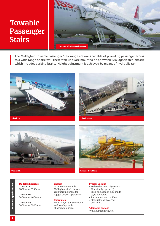### **Towable Passenger Stairs**



The Mallaghan Towable Passenger Stair range are units capable of providing passenger access to a wide range of aircraft. These stair units are mounted on a towable Mallaghan steel chassis which includes parking brake. Height adjustment is achieved by means of hydraulic ram.









#### **Model Sill Heights Tristair LR**

1800mm - 3950mm

**Tristair MR** 2400mm - 4400mm

#### **Tristair HR**

3800mm - 5800mm

#### **Chassis**

Mounted on towable Mallaghan steel chassis with parking brake for rugged airport operations.

#### **Hydraulics**

Built-in hydraulic cylinders and four hydraulic chassis stabilisers.

#### **Typical Options**

- Pedestrian control (Diesel or Electrically operated)
- Fully enclosed or sun-shade style canopies.
- Aluminium step profiles.
- Stair lights with sensor and timer.

#### **Additional Options**

Available upon request.

**Technical Specifications**

**Technical Specifications**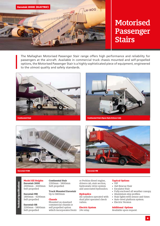

### **Motorised Passenger Stairs**

The Mallaghan Motorised Passenger Stair range offers high performance and reliability for passengers at the aircraft. Available in commercial truck chassis mounted and self-propelled options, the Motorised Passenger Stair is a highly sophisticated piece of equipment, engineered to the utmost quality and safety standards.









**Model Sill Heights Eurostair 2000** 2400mm - 4400mm Self-propelled

**Eurostair MR** 1800mm - 4200mm Self-propelled

**Eurostair HR** 2200mm - 5800mm Self-propelled

**Continental Stair** 2200mm - 5800mm Self-propelled

**Truck Mounted Eurostair** Up to 5800mm

#### **Chassis**

Mounted on standard commercial chassis or self propelled option which incorporates Deutz or Perkins diesel engine, drivers cab, stair section, hydrostatic drive system and associated hydraulics.

#### **Hydraulics**

All cylinders operated with dual pilot operated check valves.

#### **Electric System** 24v relay.

**Typical Options** • VIP

- 4x4 Rescue Stair
- Escalator Stair
- Fully enclosed all weather canopy.
- Aluminium step profiles.
- Stair lights with sensor and timer.
- Auto-level platform system.
- Electric Version

#### **Additional Options**

Available upon request.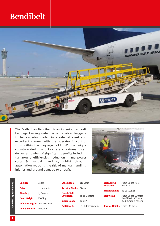### **Bendibelt**



The Mallaghan Bendibelt is an ingenious aircraft baggage loading system which enables baggage to be loaded/unloaded in a safe, efficient and expedient manner with the operator in control from within the baggage hold. With a unique curvature design and key safety features it can deliver a number of significant benefits including turnaround efficiencies, reduction in manpower costs & manual handling, whilst through automation reducing the risk of manual handling injuries and ground damage to aircraft.



| <b>Technical Specifications</b> | <b>Engine:</b>                      | Deutz              | Wheelbase:                     | 3100mm               | <b>Belt Length</b><br><b>Available:</b> | Main Boom $7.5 \&$<br>8.5mtrs |
|---------------------------------|-------------------------------------|--------------------|--------------------------------|----------------------|-----------------------------------------|-------------------------------|
|                                 | <b>Drive:</b>                       | Hydrostatic        | <b>Turning Circle: 7.7mtrs</b> |                      |                                         |                               |
|                                 |                                     |                    |                                |                      | <b>Bendi Belt Ext.</b>                  | up to 7.0mtrs                 |
|                                 | <b>Steering:</b>                    | Hydraulic          | <b>Usable Belt</b>             |                      |                                         |                               |
|                                 |                                     |                    | <b>Extension:</b>              | up to 6.0mtrs        | <b>Belt Width:</b>                      | Main Boom 600mm               |
|                                 | Dead Weight:                        | 5200 <sub>kg</sub> |                                |                      |                                         | Bendi Belt 305mm              |
|                                 |                                     |                    | <b>Single Load:</b>            | 400 <sub>kg</sub>    |                                         | (600mm inc. rollers)          |
|                                 | <b>Vehicle Length: max 10.0mtrs</b> |                    |                                |                      |                                         |                               |
|                                 |                                     |                    | <b>Belt Speed:</b>             | $13 - 24$ mtrs p/min | <b>Service Height: 1mtr - 3.1mtrs</b>   |                               |
|                                 | <b>Vehicle Width: 2400mm</b>        |                    |                                |                      |                                         |                               |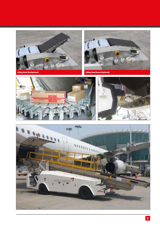





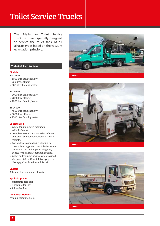### **Toilet Service Trucks**

The Mallaghan Toilet Service Truck has been specially designed to service the toilet tank of all aircraft types based on the vacuum evacuation principle.

#### **Technical Specifications**

#### **Models**

- **TSU1000**
- 1000 litre tank capacity
- 700 litre effluent
- 300 litre flushing water

#### **TSU3000**

- 3000 litre tank capacity
- 2000 litre effluent
- 1000 litre flushing water

#### **TSU4500**

- 4500 litre tank capacity
- 3000 litre effluent
- 1500 litre flushing water

#### **Specification**

- Waste tank mounted in tandem with flush tank.
- Complete assembly attached to vehicle chassis via independent flexible rubber mounts.
- Top surface covered with aluminium tread-plate supported on a tubular frame, secured to the tank top ensuring easy access to the aircraft servicing points.
- Water and vacuum services are provided via power take-off, which is engaged or disengaged within the vehicle cab.

#### **Chassis**

All suitable commercial chassis

#### **Typical Options**

- Automatic gear box
- Hydraulic tail-lift
- Winterisation

#### **Additional Options**

Available upon request.





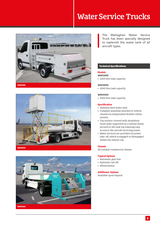### **Water Service Trucks**







The Mallaghan Water Service Truck has been specially designed to replenish the water tank of all aircraft types.

#### **Technical Specifications**

#### **Models**

**WSU1000**  • 1000 litre tank capacity

#### **WSU3000**

• 3000 litre tank capacity

#### **WSU4500**

• 4500 litre tank capacity

#### **Specification**

- Stainless steel water tank.
- Complete assembly attached to vehicle chassis via independent flexible rubber mounts.
- Top surface covered with aluminium tread-plate supported on a tubular frame, secured to the tank top ensuring easy access to the aircraft servicing points.
- Water services are provided via power take-off, which is engaged or disengaged within the vehicle cab.

#### **Chassis**

All suitable commercial chassis

#### **Typical Options**

- Automatic gear box
- Hydraulic tail-lift
- Winterisation

**Additional Options** Available upon request.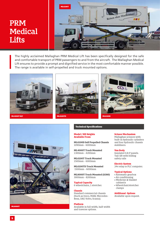### **PRM Medical Lifts**



The highly acclaimed Mallaghan PRM Medical Lift has been specifically designed for the safe and comfortable transport of PRM passengers to and from the aircraft. The Mallaghan Medical Lift ensures to provide a prompt and dignified service in the most comfortable manner possible. The range is available in self-propelled and truck mounted options.









#### **Technical Specifications**

#### **Model / Sill Heights Available From:**

**ML6100D Self Propelled Chassis** 1090mm - 6000mm

**ML4000T Truck Mounted** 1300mm - 4200mm

**ML6100T Truck Mounted** 1500mm - 6000mm

**ML6100TD Truck Mounted** 1500mm - 6000mm

**ML8000T Truck Mounted (A380)**  3000mm - 8200mm

**Typical Capacity** 6 wheelchairs, 1 stretcher.

#### **Chassis**

Standard commercial chassis (Such as Iveco, MAN, Mercedes-Benz, DAF, Volvo, Scania).

#### **Platform**

Available in full width, half-width and traverse options.

#### **Scissor Mechanism**

Mallaghan scissors with built-in hydraulic cylinders and four hydraulic chassis stabilisers.

#### **Van Body**

Insulated G.R.P panels. Tail-lift with folding safety rails

**Electric System**

24v relay or PLC computer.

#### **Typical Options**

- Automatic gearbox
- Air conditioning
- Medicine & blanket cabinet/s
- Wheelchair/stretcher clamps

#### **Additional Options**

Available upon request.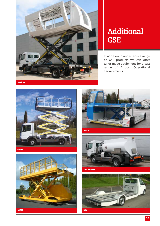

### **Additional GSE**

In addition to our extensive range of GSE products we can offer tailor-made equipment for a vast range of Airport Operational Requirements.



**MPL11**